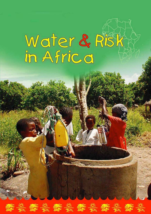# Water & Risk

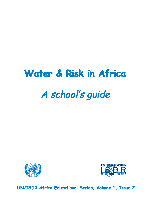# **Water & Risk in Africa** A school's guide





**UN/ISDR Africa Educational Series, Volume 1, Issue 2**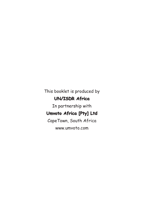This booklet is produced by **UN/ISDR Africa** 

In partnership with

#### **Umvoto Africa [Pty] Ltd**

CapeTown, South Africa

www.umvoto.com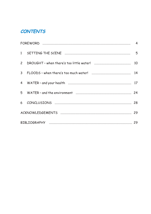#### **CONTENTS**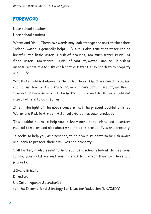#### **FOREWORD**

Dear school teacher, Dear school student,

Water and Risk... These two words may look strange one next to the other. Indeed, water is generally helpful. But it is also true that water can be harmful: too little water is risk of drought, too much water is risk of flood, water - too scarce - is risk of conflict, water - impure - is risk of disease. Worse, these risks can lead to disasters. They can destroy property and ... life.

Yet, this should not always be the case. There is much we can do. You, me, each of us, teachers and students, we can take action. In fact, we should take action because when it is a matter of life and death, we should not expect others to do it for us.

It is in the light of the above concern that the present booklet entitled Water and Risk in Africa - A School's Guide has been produced.

This booklet seeks to help you to know more about risks and disasters related to water, and also about what to do to protect lives and property.

It seeks to help you, as a teacher, to help your students to be risk aware and learn to protect their own lives and property.

Still better, it also seeks to help you, as a school student, to help your family, your relatives and your friends to protect their own lives and property.

Sálvano Briceño, Director, UN Inter-Agency Secretariat for the International Strategy for Disaster Reduction (UN/ISDR)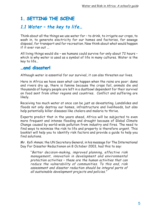# **1. SETTING THE SCENE SCENE1. SETTING**

#### 1.1 Water – the key to life...

Think about all the things we use water for – to drink, to irrigate our crops, to wash in, to generate electricity for our homes and factories, for sewage disposal, for transport and for recreation. Now think about what would happen  $if$  it ever ran out

All living things would die – we humans could survive for only about 72 hours – which is why water is used as a symbol of life in many cultures. Water is the key to life…

#### **…and disaster! disaster!…and**

Although water is essential for our survival, it can also threaten our lives.

Here in Africa we have seen what can happen when the rains are poor: dams and rivers dry up, there is famine because the crops fail, animals die and thousands of hungry people are left in a dustbowl dependent for their survival on food sent from other regions and countries. Conflict and suffering are likely.

Receiving too much water at once can be just as devastating. Landslides and floods not only destroy our homes, infrastructure and livelihoods, but also help potentially killer diseases like cholera and malaria to thrive.

Experts predict that in the years ahead, Africa will be subjected to even more frequent and intense flooding and drought because of Global Climate Change caused by world-wide pollution from industry and fires. The need to find ways to minimise the risk to life and property is therefore urgent. This booklet will help you to identify risk factors and provide a guide to help you find solutions.

Mr. Kofi Annan; the UN Secretary General, in his message for The International Day For Disaster Reductionon on 8 October 2003, had this to say:

"Better decision-making, improved planning, effective risk management, innovation in development and environmental protection activities – these are the human activities that can reduce the vulnerability of communities. To this end, risk assessment and disaster reduction should be integral parts of all sustainable development projects and policies."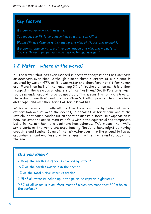We cannot survive without water.

Too much, too little or contaminated water can kill us. Globla Climate Change is increasing the risk of floods and drought. We cannot change nature ut we can reduce the risk and impacts of disaste through proper land-use and water management.

#### 1.2 Water – where in the world?

All the water that has ever existed is present today; it does not increase or decrease over time. Although almost three-quarters of our planet is covered by water, 97% of it is seawater and therefore not fit for human use. More than half of the remaining 3% of freshwater on earth is either trapped in the ice-caps or glaciers of the North and South Pole or is much too deep underground to be pumped out. This means that only 0.3% of all the water on earth is available to sustain 6.3 billion people, their livestock and crops, and all other forms of terrestrial life.

Water is recycled globally all the time by way of the hydrological cycle: evaporation occurs over the oceans, it becomes water vapour and turns into clouds through condensation and then into rain. Because evaporation is heaviest over the ocean, most rain falls within the equatorial and temperate belts in the northern and southern hemispheres. This means that while some parts of the world are experiencing floods, others might be having droughts and famine. Some of the rainwater goes into the ground to top up groundwater and aquifers and some runs into the rivers and so back into the sea.

#### Did you know?

70% of the earth's surface is covered by water?

97% of the earth's water is in the ocean?

3% of the total global water is fresh?

2.15 of all water is locked up in the polar ice caps or in glaciers?

0.6% of all water is in aquifers, most of which are more that 800m below the surface?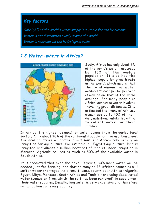Only 0,3% of the world's water supply is suitable for use by humans. Water is not distributed evenly around the world. Water is recycled via the hydrological cycle.

### 1.3 Water -where in Africa?



Sadly, Africa has only about 9% of the world's water resources but 13% of the world's population. It also has the highest population growth rate in the world, which means that the total amount of water available to each person per year is well below that of the world average. For many people in Africa, access to water involves travelling great distances. It is estimated that many of Africa's women use up to 40% of their daily nutritional intake travelling to collect water for their families.

In Africa, the highest demand for water comes from the agricultural sector. Only about 38% of the continent's population live in urban areas. The arid countries of northern and southern Africa rely heavily on irrigation for agriculture. For example, all Egypt's agricultural land is irrigated and almost a million hectares of land is under irrigation in Morocco. Agriculture uses as much as 50% of the available water in South Africa.

It is predicted that over the next 20 years, 30% more water will be needed just for farming, and that as many as 25 African countries will suffer water shortages. As a result, some countries in Africa –Algeria, Egypt, Libya, Morocco, South Africa and Tunisia – are using desalinated water (seawater from which the salt has been removed) to supplement their water supplies. Desalinating water is very expensive and therefore not an option for every country.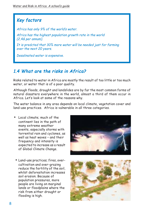Africa has only 9% of the world's water.

Africa has the highest population growth rate in the world (2,4& per annum).

It is predcted that 30% more water will be needed just for farming over the next 20 years.

Desalinated water is expensive.

# 1.4 What are the risks in Africa?

Risks related to water in Africa are mostly the result of too little or too much water, or water that is of a poor quality.

Although floods, drought and landslides are by far the most common forms of natural disasters everywhere in the world, almost a third of them occur in Africa. Let's look at some of the reasons why.

The water balance in any area depends on local climate, vegetation cover and land-use practices. Africa is vulnerable in all three categories.

- Local climate; much of the continent lies in the path of many extreme weather events, especially storms with torrential rain and cyclones, as well as heat waves – and their frequency and intensity is expected to increase as a result of Global Climate Change.
- Land-use practices; fires, overcultivation and over-grazing reduce the fertility of the soil, whilst deforestation increases soil erosion. Because of population pressures, more people are living on marginal lands or floodplains where the risk from either drought or flooding is high.



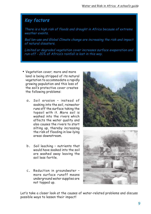There is a high risk of floods and drought in Africa because of extreme weather events.

Bad lan-use and Global Climate change are increasing the risk and impact of natural disasters.

Limited or degraded vegetation cover increases surface evaporation and run-off - 20% of Africa's rainfall is lost in this way.

- Vegetation cover; more and more land is being stripped of its natural vegetation to accommodate a rapidly growing population and this loss of the soil's protective cover creates the following problems:
	- a. Soil erosion instead of soaking into the soil, rainwater runs off the surface taking the topsoil with it. More soil is washed into the rivers which affects the water quality and also causes the rivers to start silting up, thereby increasing the risk of flooding in low-lying areas downstream.
	- b. Soil leaching nutrients that would have soaked into the soil are washed away leaving the soil less fertile.
	- c. Reduction in groundwater more surface runoff means underground water supplies are not topped up.



Let's take a closer look at the causes of water-related problems and discuss possible ways to lessen their impact!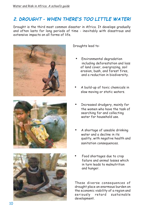### 2. DROUGHT - WHEN THERE'S TOO LITTLE WATER!

Drought is the third most common disaster in Africa. It develops gradually and often lasts for long periods of time - inevitably with disastrous and extensive impacts on all forms of life.



Droughts lead to:

- Environmental degradation including deforestation and loss of land cover, overgrazing, soil erosion, bush, and forest fires, and a reduction in biodiversity.
- A build-up of toxic chemicals in slow moving or static waters.
- Increased drudgery, mainly for the women who have the task of searching for and collecting water for household use.
- A shortage of useable drinking water and a decline in its quality, with negative health and sanitation consequences.
- Food shortages due to crop failure and animal losses which in turn leads to malnutrition and hunger.

These diverse consequences of drought place an enormous burden on the economic viability of a region and seriously retard sustainable development.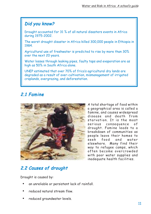#### Did you know?

Drought accounted for 31 % of all natural disasters events in Africa during 1975-2002.

The worst drought disaster in Africa killed 300,000 people in Ethiopia in 1984.

Agricultural use of freshwater is predicted to rise by more than 30% over the next 20 years.

Water losses through leaking pipes, faulty taps and evaporation are as high as 50% in South Africa alone.

UNEP estimated that over 70% of frica's agricultural dry lands are degraded as a result of over-cultivation, mismanagement of irrigated croplands, overgrazing, and deforestation.

# 2.1 Famine



A total shortage of food within a geographical area is called a famine, and causes widespread disease and death from starvation. It is the most serious consequence of drought. Famine leads to a breakdown of communities as people leave their homes to seek food and water elsewhere. Many find their way to refugee camps, which often become overcrowded with poor water supplies and inadequate health facilities.

# 2.2 Causes of drought

Drought is caused by:

- an unreliable or persistent lack of rainfall.
- reduced natural stream flow.
- reduced groundwater levels.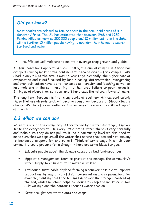### Did you know?

Most deaths are related to famine occur in the semi-arid areas of sub-Saharan Africa. The UN has estimated that between 1968 and 1985, Famine killed as many as 250,000 people and 12 million cattle in the Sahel, with a further 10 million people having to abandon their homes to search for food and water.

• insufficient soil moisture to maintain average crop growth and yields.

All four conditions apply to Africa. Firstly, the annual rainfall in Africa has dropped causing most of the continent to become drier - for example, Lake Chad is only 5% of the size it was 35 years ago. Secondly, the higher rate of evaporation and runoff caused by land-clearing, deforestation, overgrazing and over-cultivation have led to increased soil erosion and leaching as well as less moisture in the soil, resulting in either crop failure or poor harvests. Silting up of rivers from surface runoff handicaps the natural flow of streams.

The long-term forecast is that many parts of southern Africa, particularly those that are already arid, will become even drier because of Global Climate Change. We therefore urgently need to find ways to reduce the risk and impact of drought.

#### $2.3$  What we can do?

When the life of the community is threatened by a water shortage, it makes sense for everybody to use every little bit of water there is very carefully and make sure they do not pollute it. At a community level we also need to make sure that we capture all the water that nature provides and not lose any to increased evaporation and runoff. Think of some ways in which your community could prepare for a drought – here are some ideas for you:

- Educate people about the damage caused by bad land-practices.
- Appoint a management team to protect and manage the community's water supply to ensure that no water is wasted.
- Introduce sustainable dryland farming whenever possible to improve production by way of careful soil conservation and rejuvenation; for example, planting grass and legumes improves the nitrogen content of the soil, whilst mulching helps to reduce to keep the moisture in soil. Cultivating along the contours reduces water erosion.
- Grow drought resistant plants and crops.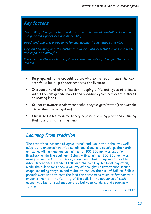The risk of drought is high in Africa because annual rainfall is dropping and poor land-practices are increasing.

Good land-use and propoer water management can reduce the risk.

Dry land farming and the cultivation of drought resistant crops can lessen the impact of drought.

Produce and store extra crops and fodder in case of drought the next season.

- Be prepared for a drought by growing extra food in case the next crop fails; build up fodder reserves for livestock.
- Introduce herd diversification; keeping different types of animals with different grazing habits and bredding cycles reduces the stress on grazing lands.
- Collect rainwater in rainwater tanks, recycle 'grey' water (for example use washing for irrigation).
- Eliminate losses by immediately repairing leaking pipes and ensuring that taps are not left running.

#### Learning from tradition

The traditional pattern of agricultural land use in the Sahel was well adapted to uncertain rainfall conditions. Generally speaking, the northern zone, with a mean annual rainfall of 100-350 mm was used for livestock, while the southern Sahel, with a rainfall 350-800 mm, was used for rain fed crops. This system permitted a degree of flexible inter-dependence. Herders followed the rains by seasonal migration, while the cultivators grew a variety of drought-resistent subsistence crops, including sorghum and millet, to reduce the risk of failure. Fallow periods were used to rest the land for perhaps as much as five years in order to maintain the fertility of the soil. In the abscence of cash economy, a barter system operated between herders and sedentary farmes.

Source: Smith, K. 2001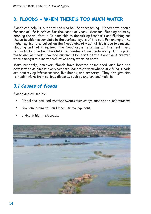#### **3. FLOODS - WHEN THERE'S TOO MUCH WATER WHEN WATER3. - WHEN THERE'S**

Floods can help us, but they can also be life threatening. Floods have been a feature of life in Africa for thousands of years. Seasonal flooding helps by keeping the soil fertile. It does this by depositing fresh silt and flushing out the salts which accumulate in the surface layers of the soil. For example, the higher agricultural output on the floodplains of west Africa is due to seasonal flooding and not irrigation. The flood cycle helps sustain the health and productivity of wetland habitats and maintains their biodiversity. In the past, these annual floods provided enormous benefits as the floodplains created were amongst the most productive ecosystems on earth.

More recently, however, floods have become associated with loss and devastation as almost every year we learn that somewhere in Africa, floods are destroying infrastructure, livelihoods, and property. They also give rise to health risks from serious diseases such as cholera and malaria.

### 3.1 Causes of floods

Floods are caused by:

- Global and localised weather events such as cyclones and thunderstorms.
- Poor environmental and land-use management.
- Living in high-risk areas.

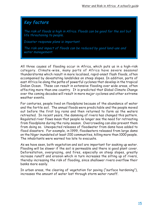The risk of floods is high in Africa. Floods can be good for the soil but life threatening to people.

Disaster response plans is important.

The risk and impact of floods can be reduced by good land-use and water management.

All three causes of flooding occur in Africa, which puts us in a high-risk category. Climate-wise, many parts of Africa have severe seasonal thunderstorms which result in more localised, rapid-onset flash floods, often accompanied by devastating landslides on steep slopes. In addition, parts of east Africa lie along the paths of powerful cyclones that develop in the tropical Indian Ocean. These can result in extensive flooding over wide areas, often affecting more than one country. It is predicted that Global Climate Change over the coming decades will result in more major cyclones and other extreme weather events.

For centuries, people lived on floodplains because of the abundance of water and the fertile soil. The annual floods were predictable and the people moved out before the first big rains and then returned to farm as the waters retreated. In recent years, the damming of rivers has changed this pattern. Regulated river flows mean that people no longer see the need for retreating from floodplains during the rainy season. Overcrowding can also prevent them from doing so. Unexpected releases of floodwater from dams have added to flood disasters. For example, in 1999, floodwaters released from large dams on the Niger inundated at least 200 communities, killing more than 1000 people. The inhabitants were warned too late to evacuate.

As we have seen, both vegetation and soil are important for soaking up water. Flooding will be slower if the soil is permeable and there is good plant cover. Deforestation, overgrazing, and fires, especially on steep slopes, greatly increase runoff and erosion which in turn increases the silting up of rivers, thereby increasing the risk of flooding, since shallower rivers overflow their banks more easily.

In urban areas, the clearing of vegetation for paving ("surface hardening"), increases the amount of water lost through storm water runoff.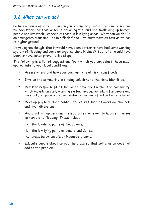#### $3.2$  What can we do?

Picture a deluge of water falling on your community – as in a cyclone or serious thunderstorm! All that water is drowning the land and swallowing up homes, people and livestock - especially those in low-lying areas. What can we do? In an emergency situation – as in a flash flood – we must move as fast as we can to higher ground.

Do you agree though, that it would have been better to have had some warning system of flooding and some emergency plans in place? Best of all would have been to have taken preventative steps.

The following is a list of suggestions from which you can select those most appropriate to your local conditions.

- Assess where and how your community is at risk from floods.
- Involve the community in finding solutions to the risks identified.
- Disaster response plans should be developed within the community, which include an early warning system, evacuation plans for people and livestock, temporary accommodation, emergency food and water stocks.
- Develop physical flood control structures such as overflow channels and river diversions.
- Avoid setting up permanent structures (for example houses) in areas vulnerable to flooding. These include:
	- a. the low-lying parts of floodplains.
	- b. the low-lying parts of coasts and deltas.
	- c. areas below unsafe or inadequate dams.
- Educate people about correct land use so that soil erosion does not add to the problem.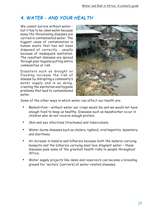### 4. WATER - AND YOUR HEALTH

We cannot survive without water but it has to be clean water because many life-threatening diseases are carried in contaminated water. The biggest cause of contamination is human waste that has not been disposed of correctly - usually because of inadequate sanitation. The resultant diseases are spread through poor hygiene putting entire communities at risk.

Disasters such as drought or flooding increase the risk of disease by disrupting a community's water supply and in so doing, creating the sanitation and hygiene problems that lead to contaminated water.



Some of the other ways in which water can affect our health are:

- Malnutrition without water our crops would die and we would not have enough food to keep us healthy. Diseases such as kwashiorkor occur in children who do not receive enough protein.
- Skin and eye infections (trachoma) and tuberculosis.
- Water-borne diseases such as cholera, typhoid, viral hepatitis, dysentery and diarrhoea.
- An increase in malaria and bilharzia because both the malaria-carrying mosquito and the bilharzia carrying snail love stagnant water – these diseases pose some of the greatest health risks to people throughout Africa.
- Water supply projects like dams and reservoirs can become a breeding ground for 'vectors' (carriers) of water-related diseases.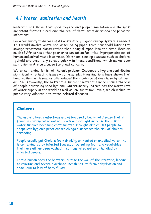#### 4.1 Water, sanitation and health

Research has shown that good hygiene and proper sanitation are the most important factors in reducing the risk of death from diarrhoea and parasitic infections.

For a community to dispose of its waste safely, a good sewage system is needed. This would involve waste and water being piped from household latrines to sewage treatment plants rather than being dumped into the river. Because much of Africa has either poor or no sanitation facilities, improper disposal of human and animal waste is common. Diarrhoea-causing diseases such as cholera, typhoid and dysentery spread quickly in these conditions, which makes poor sanitation in Africa a cause for great concern.

Water contamination is not the only problem. Inadequate hygiene contributes significantly to health issues – for example, investigations have shown that hand washing with soap or ash reduces the incidence of diarrhoea by as much as 35%. Obviously, the better the supply of water the more chance there is of people practising good hygiene. Unfortunately, Africa has the worst rate of water supply in the world as well as low sanitation levels, which makes its people very vulnerable to water-related diseases.

#### $Cholera$ :

Cholera is a highly infectious and often deadly bacterial disease that is found in contaminated water. Floods and drought increase the risk of water supplies becoming contaminated. Drought also causes people to adopt less hygienic practices which again increases the risk of cholera spreading.

People usually get Cholera from drinking untreated or unboiled water that is contaminated by infected faeces, or by eating fruit and vegetables that have either been washed in contaminated water or handled by infected people.

In the human body the bacteria irritate the wall of the intestine, leading to vomiting and severe diarrhoea. Death results from dehydration and shock due to loss of body fluids.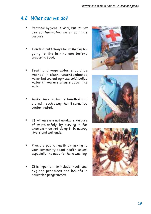#### 4.2 What can we do?

- Personal hygiene is vital, but do not use contaminated water for this purpose.
- Hands should always be washed after going to the latrine and before preparing food.
- Fruit and vegetables should be washed in clean, uncontaminated water before eating – use cold, boiled water if you are unsure about the water.
- Make sure water is handled and stored in such a way that it cannot be contaminated.
- If latrines are not available, dispose of waste safely, by burying it, for example – do not dump it in nearby rivers and wetlands.
- Promote public health by talking to your community about health issues, especially the need for hand washing.
- It is important to include traditional hygiene practices and beliefs in education programmes.





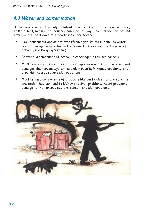#### 4.3 Water and contamination

Human waste is not the only pollutant of water. Pollution from agriculture, waste dumps, mining and industry can find its way into surface and ground water, and when it does, the health risks are severe:

- High concentrations of nitrates (from agriculture) in drinking water result in oxygen-starvation in the brain. This is especially dangerous for babies (Blue Baby Syndrome).
- Benzene, a component of petrol, is carcinogenic (causes cancer).
- Most heavy metals are toxic. For example, arsenic is carcinogenic, lead damages the nervous system, cadmium results in kidney problems, and chromium causes severe skin reactions.
- Most organic components of products like pesticides, tar and solvents are toxic; they can lead to kidney and liver problems, heart problems, damage to the nervous system, cancer, and skin problems.

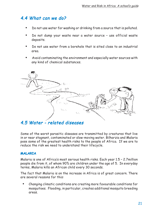#### $4.4$  What can we do?

- Do not use water for washing or drinking from a source that is polluted.
- Do not dump your waste near a water source use official waste deposits.
- Do not use water from a borehole that is sited close to an industrial area.
- Avoid contaminating the environment and especially water sources with any kind of chemical substances.



#### 4.5 Water - related diseases

Some of the worst parasitic diseases are transmitted by creatures that live in or near stagnant, contaminated or slow-moving water. Bilharzia and Malaria pose some of the greatest health risks to the people of Africa. If we are to reduce the risk we need to understand their lifecycle.

#### **MALARIA**

Malaria is one of Africa's most serious health risks. Each year 1.5 – 2.7million people die from it, of whom 90% are children under the age of 5. In everyday terms, Malaria kills an African child every 30 seconds.

The fact that Malaria is on the increase in Africa is of great concern. There are several reasons for this:

• Changing climatic conditions are creating more favourable conditions for mosquitoes. Flooding, in particular, creates additional mosquito breeding areas.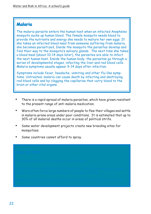#### **Malaria**

The malaria parasite enters the human host when an infected Anopheles mosquito sucks up human blood. The female mosquito needs blood to provide the nutrients and energy she needs to mature her own eggs. If she takes an infected blood meal from someone suffering from malaria, she becomes parasitized. Inside the mosquito the parasites develop and find their way to the mosquito's salivary glands. The next time she takes a blood meal (about 10-14 days later), the parasites are able to infect the next human host. Inside the human body, the parasites go through a series of developmental stages, infecting the liver and red blood cells. Malaria symptoms usually appear 9-14 days after infection.

Symptoms include fever, headache, vomiting and other flu-like symptoms. Untreated, malaria can cause death by infecting and destroying red blood cells and by clogging the capillaries that carry blood to the brain or other vital organs.

- There is a rapid spread of malaria parasites, which have grown resistant to the present range of anti malaria medication.
- Wars often force large numbers of people to flee their villages and settle in malaria-prone areas under poor conditions. It is estimated that up to 30% of all malarial deaths occur in areas of political strife.
- Some water development projects create new breeding sites for mosquitoes.
- Some countries cannot afford to spray.

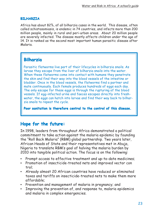#### **BILHARZIA BILHARZIABILHARZIA**

Africa has about 82%, of all bilharzia cases in the world. This disease, often called schistosomiasis, is endemic in 74 countries, and infects more than 200 million people, mainly in rural and peri-urban areas. About 20 million people are severely infected. The disease mostly affects children under the age of 14. It is ranked as the second most important human parasitic disease after Malaria.

#### **Bilharzia BilharziaBilharzia**

Parasitic flatworms live part of their lifecycles in bilharzia snails. As larvae they escape from the liver of bilharzia snails into the water. When these flatworms come into contact with humans they penetrate the skin and find their way into the blood vessels of the intestine or bladder. Once in the blood vessels, the flatworms find a partner and mate continuously. Each female produces hundreds of eggs each day. The only escape for these eggs is through the rupturing of the blood vessels. If egg-infected urine and faeces escapes directly into freshwater, the eggs can hatch into larvae and find their way back to bilharzia snails to repeat the cycle.

Poor sanitation is therefore central to the control of this disease.

#### **Hope for the future:**

In 1998, leaders from throughout Africa demonstrated a political commitment to take action against the malaria epidemic by founding the "Roll Back Malaria" (RBM) global partnership. Two years later, African Heads of State and their representatives met in Abuja, Nigeria to translate RBM's goal of halving the malaria burden by 2010 into tangible political action. The focus is on the following:

- Prompt access to effective treatment and up-to-date medicines;
- Promotion of insecticide-treated nets and improved vector con trol;
- Already almost 20 African countries have reduced or eliminated taxes and tariffs on insecticide-treated nets to make them more affordable;
- Prevention and management of malaria in pregnancy; and
- Improving the prevention of, and response to, malaria epidemics and malaria in complex emergencies.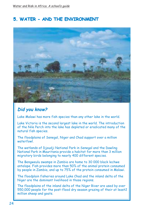#### **5. WATER - AND THE ENVIRONMENT**



#### Did you know?

Lake Malawi has more fish species than any other lake in the world.

Lake Victoria is the second largest lake in the world. The introduction of the Nile Perch into the lake has depleted or eradicated many of the natural fish species.

The floodplains of Senegal, Niger and Chad support over a million waterfowl.

The wetlands of Djoudji National Park in Senegal and the Dawling National Park in Mauritania provide a habitat for more than 3 million migratory birds belonging to nearly 400 different species.

The Bengweulu swamps in Zambia are home to 30 000 black lechwe antelope. Fish provides more than 50% of the animal protein consumed by people in Zambia, and up to 75% of the protein consumed in Malawi.

The floodplain fisheries around Lake Chad and the inland delta of the Niger are the dominant livelihood in those regions.

The floodplains of the inland delta of the Niger River are used by over 550,000 people for the post-flood dry season grazing of their at least2 million sheep and goats.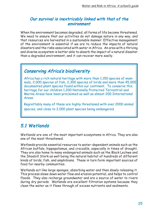#### Our survival is inextricably linked with that of the environment

When the environment becomes degraded, all forms of life become threatened. We need to ensure that our activities do not damage nature in any way, and that resources are harvested in a sustainable manner. Effective management of the environment is essential if we are to reduce the impacts of natural disasters and the risks associated with water in Africa. An area with a thriving and diverse ecosystem is better able to absorb the impact of a natural disaster than a degraded environment, and it can recover more easily.

#### Conserving Africa's biodiversity

Africa has a rich natural heritage with more than 1,150 species of mammals, 2,000 species of fish, 2,300 species of birds and more than 45,000 documented plant species found within our continent. To conserve this heritage for our children 1,200 Nationally Protected Terrestrial and Marine Areas have been proclaimed as well as almost 200 International Areas.

Regrettably many of these are highly threatened with over 2000 animal species, and close to 2,000 plant species being endangered.

#### 5.1 Wetlands

Wetlands are one of the most important ecosystems in Africa. They are also one of the most threatened.

Wetlands provide essential resources to water-dependent animals such as the African buffalo, hippopotamus, and crocodile, especially in times of drought. They are also home to many endangered animals such as the Black Lechwe and the Shoebill Stork as well being the natural habitat of hundreds of different kinds of birds, fish, and amphibians. These in turn form important sources of food for nearby communities.

Wetlands act like large sponges, absorbing water and then slowly releasing it. This process slows down water flow and erosion potential, and helps to control floods. They also recharge groundwater and are a source of water to rivers during dry periods. Wetlands are excellent filtration systems because they clean the water as it flows through of excess nutrients and sediments.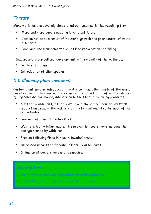#### **Threats**

Many wetlands are severely threatened by human activities resulting from:

- More and more people needing land to settle on.
- Contamination as a result of industrial growth and poor control of waste discharge.
- Poor land-use management such as land reclamation and filling.

Inappropriate agricultural development in the vicinity of the wetlands.

- Poorly sited dams.
- Introduction of alien species.

# 5.2 Clearing plant invaders

Certain plant species introduced into Africa from other parts of the world have become highly invasive. For example, the introduction of wattle (Acacia cyclops and Acacia saligna) into Africa has led to the following problems:

- A loss of arable land, loss of grazing and therefore reduced livestock production because the wattle is a thirsty plant and absorbs much of the groundwater.
- Poisoning of humans and livestock.
- Wattle is highly inflammable; fire prevention costs more, as does the damage caused by wildfires.
- Erosion following fires in heavily invaded areas.
- Increased impacts of flooding, especially after fires.
- Silting up of dams, rivers and reservoirs.

#### Key Factors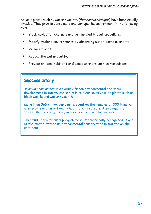Aquatic plants such as water hyacinth (Eicchornia cassipes) have been equally invasive. They grow in dense mats and damage the environment in the following ways:

- Block navigation channels and get tangled in boat propellers.
- Modify wetland environments by absorbing water-borne nutrients.
- Release toxins.
- Reduce the water quality.
- Provide an ideal habitat for disease carriers such as mosquitoes.

#### **Success Story**

'Working for Water' is a South African environmental and socialdevelopment initiative whose aim is to clear invasive alien plants such as black wattle and water hyacinth.

More than \$65 million per year is spent on the removal of 300 invasive alien plants and on wetland rehabilitation projects. Approximately 15,000 short-term jobs a year are created for the purpose.

This multi-departmental programme is internationally recognised as one of the most outstanding environmental conservation initiatives on the continent.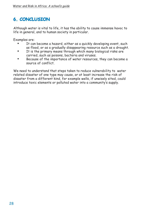### **6. CONCLUSION CONCLUSION6.**

Although water is vital to life, it has the ability to cause immense havoc to life in general, and to human society in particular.

Examples are:

- It can become a hazard, either as a quickly developing event, such as flood, or as a gradually disappearing resource such as a drought.
- It is the primary means through which many biological risks are carried, such as poisons, bacteria and viruses.
- Because of the importance of water resources, they can become a source of conflict.

We need to understand that steps taken to reduce vulnerability to water related disaster of one type may cause, or at least increase the risk of disaster from a different kind, for example wells, if unwisely sited, could introduce toxic elements or polluted water into a community's supply.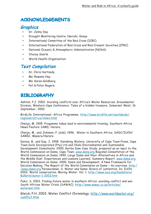# **ACKNOWLEDGEMENTS ACKNOWLEDGEMENTSACKNOWLEDGEMENTS**

#### Graphics

- Dr. Jenny Day
- Drought Monitoring Centre, Nairobi, Kenya
- International Committee of the Red Cross (ICRC)
- International Federation of Red Cross and Red Cresent Societies (IFRC)
- National Oceanic & Atmospheric Administration (NOAA)
- Stacey Searle
- World Health Organization

#### **Text Compilation**

- Dr. Chris Hartnady
- Ms. Rowena Hay
- Ms. Karen Goldberg
- Pat & Peter Rogers

#### **BIBLIOGRAPHY**

Ashton, P.J. 2002. Avoiding conflicts over Africa's Water Resources. Groundwater Division, Western Cape Conference: Tales of a hidden treasure, Somerset West, 16 September, 2002.

BirdLife International: Africa Programme. http://www.birdlife.net/worldwide/ regional/africa/index.html

Chenje, M. 1995. Progamme takes lead in environmental training. Southern Africa News Feature SARD, Harare.

Chenje, M., and Johnson, P. (eds). 1996. Water in Southern Africa. SADC/IUCN/ SARDC, Maseru/Harare.

Davies, B., and Day, J. 1998. Vanishing Waters, University of Cape Town Press, Cape Town.Soils Incorporated (Pty) Ltd and Chalo Environmental and Sustainable Development Consultants. 2000. Kariba Dam Case Study, prepared as an input to the World Commission on Dams, Cape Town, www.dams.org Regional Consultation of the World Commission on Dams. 1999. Large Dams and their Alternatives in Africa and the Middle East. Experiences and Lessons Learned. Summary Report. www.dams.org World Commission on Dams. 2000. Dams and Development. A New Framework for Decision Making. The Report of the World Commission on Dams – An overview. http:/ /www.dams.org Parasuraman, S. Water and Dams: Rivers of contention. In: IUCN. 2003. World conservation. Moving Water. Vol. 1. http://www.iucn.org/bookstore/ Bulletin/water-1-2003.htm

Fakir, S. 2003. Finding future water in southern Africa: avoiding conflict and war. South African Water Crisis (SAWAC). http://www.sawac.co.za/articles/ waterwar.htm

Gleick, P.H. 2003. Water Conflict Chronology. http://www.worldwater.org/ conflict.htm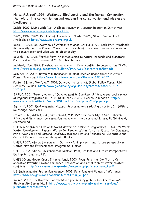Hails, A.J. (ed) 1996. Wetlands, Biodiversity and the Ramsar Convention: the role of the convention on wetlands in the conservation and wise use of biodiversity.

ISDR. 2002. Living with Risk. A Global Review of Disaster Reduction Initiatives. http://www.unisdr.org/Globalreport.htm

IUCN, 1997. IUCN Red List of Threatened Plants. IUCN, Gland, Switzerland. Available on http://www.unep-wcmc.org.uk

Kabii, T. 1996. An Overview of African wetlands. In: Hails, A.J. (ed) 1996. Wetlands, Biodiversity and the Ramsar Convention: the role of the convention on wetlands in the conservation and wise use of biodiversity.

Kovach, R.L. 1995. Earth's Fury. An introduction to natural hazards and disasters. Prentice-Hall Inc. Englewood Cliffs, New Jersey.

McNeely, J.A. 1999. Freshwater management. From conflict to cooperation. IUCN. http://www.iucn.org/bookstore/bulletin/1999/wc2/content/conflict.pdf

Mitchell, A. 2003. Botanists: thousands of plant species under threat in Africa. Planet Save.com http://www.planetsave.com/ViewStory.asp?ID=4327

Postel, S.L. and Wolf, A.T. 2001. Dehydrating conflict. Global Policy Forum, UN Security Council. http://www.globalpolicy.org/security/natres/water/2001/ 1001fpol.htm

SARDC, 2001. Twenty years of Development in Southern Africa. A sectoral review of regional integration in SADC. REDI and SARDC, Harare, Zimbabwe. http:// www.sardc.net/editorial/sanf/2001/iss9/redi%20policy%20papers.pdf

Smith, K. 2001. Environmental Hazard. Assessing and reducing disaster.  $3^{rd}$  Edition. Routledge, New York.

Stuart, S.N., Adams, R.J., and Jenkins, M.D. 1990. Biodiversity in Sub-Saharan Africa and its islands: conservation management and sustainable use. IUCN, Gland, Switzerland.

UN/WWAP (United Nations/World Water Assessment Programme). 2003. UN World Water Development Report: Water for People, Water for Life: Executive Summary. Paris, New York and Oxford, UNESCO (United Nations Educational, Scientific and Cultural Organization) and Berghahn Books.

UNEP. 2002. Africa Environment Outlook –Past, present and future perspectives. United Nations Environmental Programme, Nairobi.

UNEP. 2002. Africa Environmental Outlook. Past, Present and Future Perspectives. Earthprint Limited, UK.

UNESCO and Green Cross International. 2003. From Potential Conflict to Cooperation Potential: water for peace. Prevention and resolution of water related conflicts. http://www.unesco.org/water/wwap/pccp/pdf/brochure\_2.pdf

US Environmental Protection Agency. 2003. Functions and Values of Wetlands. http://www.epa.gov/owow/wetlands/facts/fun\_val.pdf

WCMC. 2003. Freshwater Biodiversity: a preliminary global assessment.WCMC Biodiversity Series No. 8. http://www.unep-wcmc.org/information\_services/ publications/freshwater/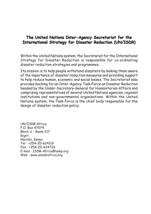#### **The United Nations Inter-Agency Secretariat for the International Strategy for Disaster Reduction (UN/ISDR)**

Within the United Nations system, the Secretariat for the International Strategy for Disaster Reduction is responsible for co-ordinating disaster reduction strategies and programmes.

Its mission is to help people withstand disasters by making them aware of the importance of disaster reduction measures and providing support to help reduce human, economic and social losses. The Secretariat also provides backing for an Inter-Agency Task Force on Disaster Reduction headed by the Under-Secretary-General for Humanitarian Affairs and comprising representatives of several United Nations agencies, regional institutions and non-governmental organisations. Within the United Nations system, the Task Force is the chief body responsible for the design of disaster reduction policy.

UN/ISDR Africa P.O. Box 47074 Block U - Room 217 Gigiri Nairobi, Kenya Tel : +254-20-624119 Fax : +254-20-624726 E-mail : ISDR-Africa@unep.org Web : www.unisdrafrica.org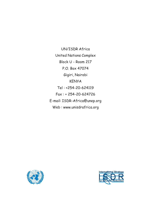UN/ISDR Africa United Nations Complex Block U - Room 217 P.O. Box 47074 Gigiri, Nairobi KENYA Tel : +254-20-624119 Fax : + 254-20-624726 E-mail: ISDR-Africa@unep.org Web : www.unisdrafrica.org